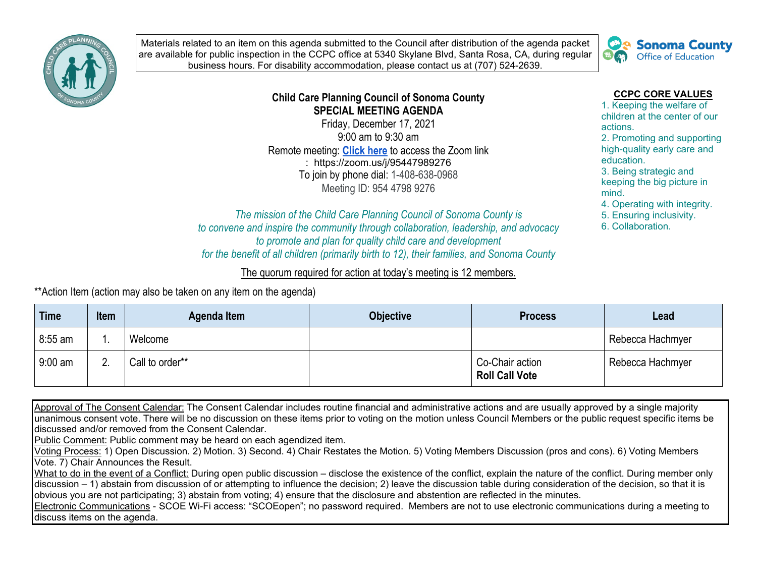

Materials related to an item on this agenda submitted to the Council after distribution of the agenda packet are available for public inspection in the CCPC office at 5340 Skylane Blvd, Santa Rosa, CA, during regular business hours. For disability accommodation, please contact us at (707) 524-2639.



## **Child Care Planning Council of Sonoma County SPECIAL MEETING AGENDA**

Friday, December 17, 2021 9:00 am to 9:30 am Remote meeting: **[Click here](https://zoom.us/j/95447989276)** to access the Zoom link : https://zoom.us/j/95447989276 To join by phone dial: 1-408-638-0968 Meeting ID: 954 4798 9276

## **CCPC CORE VALUES**

1. Keeping the welfare of children at the center of our actions.

2. Promoting and supporting high-quality early care and education.

3. Being strategic and keeping the big picture in mind.

4. Operating with integrity.

5. Ensuring inclusivity.

6. Collaboration.

*The mission of the Child Care Planning Council of Sonoma County is to convene and inspire the community through collaboration, leadership, and advocacy to promote and plan for quality child care and development for the benefit of all children (primarily birth to 12), their families, and Sonoma County*

## The quorum required for action at today's meeting is 12 members.

\*\*Action Item (action may also be taken on any item on the agenda)

| Time      | <b>Item</b> | Agenda Item     | <b>Objective</b> | <b>Process</b>                           | Lead             |
|-----------|-------------|-----------------|------------------|------------------------------------------|------------------|
| $8:55$ am |             | Welcome         |                  |                                          | Rebecca Hachmyer |
| $9:00$ am | <u>.</u>    | Call to order** |                  | Co-Chair action<br><b>Roll Call Vote</b> | Rebecca Hachmyer |

Approval of The Consent Calendar: The Consent Calendar includes routine financial and administrative actions and are usually approved by a single majority unanimous consent vote. There will be no discussion on these items prior to voting on the motion unless Council Members or the public request specific items be discussed and/or removed from the Consent Calendar.

Public Comment: Public comment may be heard on each agendized item.

Voting Process: 1) Open Discussion. 2) Motion. 3) Second. 4) Chair Restates the Motion. 5) Voting Members Discussion (pros and cons). 6) Voting Members Vote. 7) Chair Announces the Result.

What to do in the event of a Conflict: During open public discussion – disclose the existence of the conflict, explain the nature of the conflict. During member only discussion – 1) abstain from discussion of or attempting to influence the decision; 2) leave the discussion table during consideration of the decision, so that it is obvious you are not participating; 3) abstain from voting; 4) ensure that the disclosure and abstention are reflected in the minutes.

Electronic Communications - SCOE Wi-Fi access: "SCOEopen"; no password required. Members are not to use electronic communications during a meeting to discuss items on the agenda.